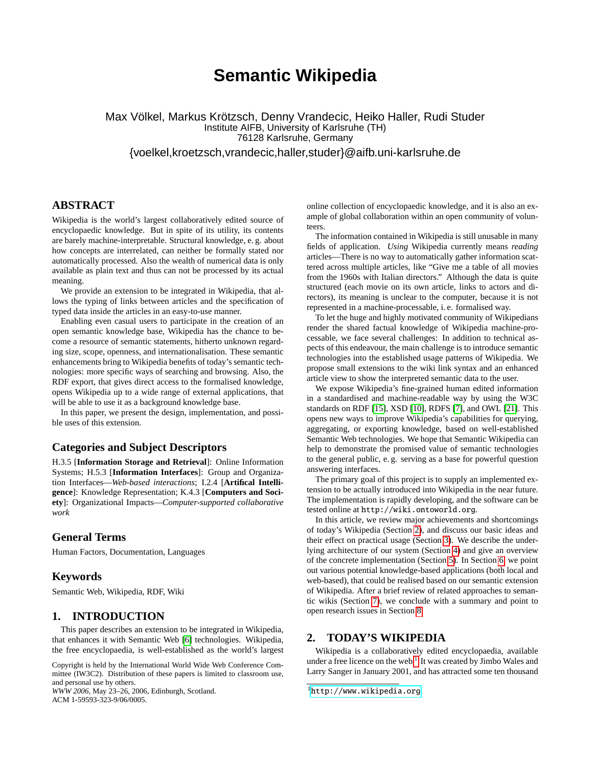# **Semantic Wikipedia**

Max Völkel, Markus Krötzsch, Denny Vrandecic, Heiko Haller, Rudi Studer Institute AIFB, University of Karlsruhe (TH) 76128 Karlsruhe, Germany

{voelkel,kroetzsch,vrandecic,haller,studer}@aifb.uni-karlsruhe.de

## **ABSTRACT**

Wikipedia is the world's largest collaboratively edited source of encyclopaedic knowledge. But in spite of its utility, its contents are barely machine-interpretable. Structural knowledge, e. g. about how concepts are interrelated, can neither be formally stated nor automatically processed. Also the wealth of numerical data is only available as plain text and thus can not be processed by its actual meaning.

We provide an extension to be integrated in Wikipedia, that allows the typing of links between articles and the specification of typed data inside the articles in an easy-to-use manner.

Enabling even casual users to participate in the creation of an open semantic knowledge base, Wikipedia has the chance to become a resource of semantic statements, hitherto unknown regarding size, scope, openness, and internationalisation. These semantic enhancements bring to Wikipedia benefits of today's semantic technologies: more specific ways of searching and browsing. Also, the RDF export, that gives direct access to the formalised knowledge, opens Wikipedia up to a wide range of external applications, that will be able to use it as a background knowledge base.

In this paper, we present the design, implementation, and possible uses of this extension.

## **Categories and Subject Descriptors**

H.3.5 [**Information Storage and Retrieval**]: Online Information Systems; H.5.3 [**Information Interfaces**]: Group and Organization Interfaces—*Web-based interactions*; I.2.4 [**Artifical Intelligence**]: Knowledge Representation; K.4.3 [**Computers and Society**]: Organizational Impacts—*Computer-supported collaborative work*

## **General Terms**

Human Factors, Documentation, Languages

#### **Keywords**

Semantic Web, Wikipedia, RDF, Wiki

## **1. INTRODUCTION**

This paper describes an extension to be integrated in Wikipedia, that enhances it with Semantic Web [\[6\]](#page-9-0) technologies. Wikipedia, the free encyclopaedia, is well-established as the world's largest

Copyright is held by the International World Wide Web Conference Committee (IW3C2). Distribution of these papers is limited to classroom use, and personal use by others.

*WWW 2006*, May 23–26, 2006, Edinburgh, Scotland. ACM 1-59593-323-9/06/0005.

online collection of encyclopaedic knowledge, and it is also an example of global collaboration within an open community of volunteers.

The information contained in Wikipedia is still unusable in many fields of application. *Using* Wikipedia currently means *reading* articles—There is no way to automatically gather information scattered across multiple articles, like "Give me a table of all movies from the 1960s with Italian directors." Although the data is quite structured (each movie on its own article, links to actors and directors), its meaning is unclear to the computer, because it is not represented in a machine-processable, i. e. formalised way.

To let the huge and highly motivated community of Wikipedians render the shared factual knowledge of Wikipedia machine-processable, we face several challenges: In addition to technical aspects of this endeavour, the main challenge is to introduce semantic technologies into the established usage patterns of Wikipedia. We propose small extensions to the wiki link syntax and an enhanced article view to show the interpreted semantic data to the user.

We expose Wikipedia's fine-grained human edited information in a standardised and machine-readable way by using the W3C standards on RDF [\[15\]](#page-9-1), XSD [\[10\]](#page-9-2), RDFS [\[7\]](#page-9-3), and OWL [\[21\]](#page-9-4). This opens new ways to improve Wikipedia's capabilities for querying, aggregating, or exporting knowledge, based on well-established Semantic Web technologies. We hope that Semantic Wikipedia can help to demonstrate the promised value of semantic technologies to the general public, e. g. serving as a base for powerful question answering interfaces.

The primary goal of this project is to supply an implemented extension to be actually introduced into Wikipedia in the near future. The implementation is rapidly developing, and the software can be tested online at http://wiki.ontoworld.org.

In this article, we review major achievements and shortcomings of today's Wikipedia (Section [2\)](#page-0-0), and discuss our basic ideas and their effect on practical usage (Section [3\)](#page-1-0). We describe the underlying architecture of our system (Section [4\)](#page-4-0) and give an overview of the concrete implementation (Section [5\)](#page-7-0). In Section [6,](#page-7-1) we point out various potential knowledge-based applications (both local and web-based), that could be realised based on our semantic extension of Wikipedia. After a brief review of related approaches to semantic wikis (Section [7\)](#page-8-0), we conclude with a summary and point to open research issues in Section [8.](#page-8-1)

## <span id="page-0-0"></span>**2. TODAY'S WIKIPEDIA**

Wikipedia is a collaboratively edited encyclopaedia, available under a free licence on the web.<sup>[1](#page-0-1)</sup> It was created by Jimbo Wales and Larry Sanger in January 2001, and has attracted some ten thousand

<span id="page-0-1"></span><sup>1</sup><http://www.wikipedia.org>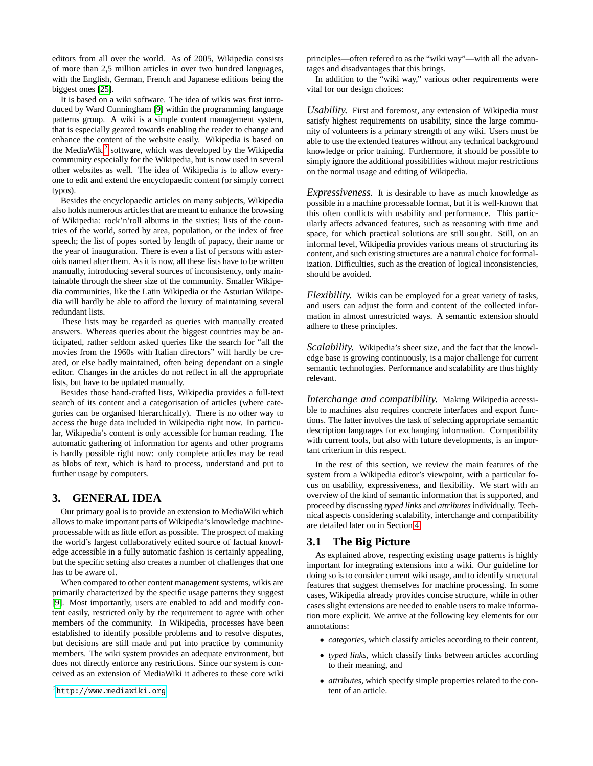editors from all over the world. As of 2005, Wikipedia consists of more than 2,5 million articles in over two hundred languages, with the English, German, French and Japanese editions being the biggest ones [\[25\]](#page-9-5).

It is based on a wiki software. The idea of wikis was first introduced by Ward Cunningham [\[9\]](#page-9-6) within the programming language patterns group. A wiki is a simple content management system, that is especially geared towards enabling the reader to change and enhance the content of the website easily. Wikipedia is based on the MediaWiki<sup>[2](#page-1-1)</sup> software, which was developed by the Wikipedia community especially for the Wikipedia, but is now used in several other websites as well. The idea of Wikipedia is to allow everyone to edit and extend the encyclopaedic content (or simply correct typos).

Besides the encyclopaedic articles on many subjects, Wikipedia also holds numerous articles that are meant to enhance the browsing of Wikipedia: rock'n'roll albums in the sixties; lists of the countries of the world, sorted by area, population, or the index of free speech; the list of popes sorted by length of papacy, their name or the year of inauguration. There is even a list of persons with asteroids named after them. As it is now, all these lists have to be written manually, introducing several sources of inconsistency, only maintainable through the sheer size of the community. Smaller Wikipedia communities, like the Latin Wikipedia or the Asturian Wikipedia will hardly be able to afford the luxury of maintaining several redundant lists.

These lists may be regarded as queries with manually created answers. Whereas queries about the biggest countries may be anticipated, rather seldom asked queries like the search for "all the movies from the 1960s with Italian directors" will hardly be created, or else badly maintained, often being dependant on a single editor. Changes in the articles do not reflect in all the appropriate lists, but have to be updated manually.

Besides those hand-crafted lists, Wikipedia provides a full-text search of its content and a categorisation of articles (where categories can be organised hierarchically). There is no other way to access the huge data included in Wikipedia right now. In particular, Wikipedia's content is only accessible for human reading. The automatic gathering of information for agents and other programs is hardly possible right now: only complete articles may be read as blobs of text, which is hard to process, understand and put to further usage by computers.

## <span id="page-1-0"></span>**3. GENERAL IDEA**

Our primary goal is to provide an extension to MediaWiki which allows to make important parts of Wikipedia's knowledge machineprocessable with as little effort as possible. The prospect of making the world's largest collaboratively edited source of factual knowledge accessible in a fully automatic fashion is certainly appealing, but the specific setting also creates a number of challenges that one has to be aware of.

When compared to other content management systems, wikis are primarily characterized by the specific usage patterns they suggest [\[9\]](#page-9-6). Most importantly, users are enabled to add and modify content easily, restricted only by the requirement to agree with other members of the community. In Wikipedia, processes have been established to identify possible problems and to resolve disputes, but decisions are still made and put into practice by community members. The wiki system provides an adequate environment, but does not directly enforce any restrictions. Since our system is conceived as an extension of MediaWiki it adheres to these core wiki

principles—often refered to as the "wiki way"—with all the advantages and disadvantages that this brings.

In addition to the "wiki way," various other requirements were vital for our design choices:

*Usability.* First and foremost, any extension of Wikipedia must satisfy highest requirements on usability, since the large community of volunteers is a primary strength of any wiki. Users must be able to use the extended features without any technical background knowledge or prior training. Furthermore, it should be possible to simply ignore the additional possibilities without major restrictions on the normal usage and editing of Wikipedia.

*Expressiveness.* It is desirable to have as much knowledge as possible in a machine processable format, but it is well-known that this often conflicts with usability and performance. This particularly affects advanced features, such as reasoning with time and space, for which practical solutions are still sought. Still, on an informal level, Wikipedia provides various means of structuring its content, and such existing structures are a natural choice for formalization. Difficulties, such as the creation of logical inconsistencies, should be avoided.

*Flexibility.* Wikis can be employed for a great variety of tasks, and users can adjust the form and content of the collected information in almost unrestricted ways. A semantic extension should adhere to these principles.

*Scalability.* Wikipedia's sheer size, and the fact that the knowledge base is growing continuously, is a major challenge for current semantic technologies. Performance and scalability are thus highly relevant.

*Interchange and compatibility.* Making Wikipedia accessible to machines also requires concrete interfaces and export functions. The latter involves the task of selecting appropriate semantic description languages for exchanging information. Compatibility with current tools, but also with future developments, is an important criterium in this respect.

In the rest of this section, we review the main features of the system from a Wikipedia editor's viewpoint, with a particular focus on usability, expressiveness, and flexibility. We start with an overview of the kind of semantic information that is supported, and proceed by discussing *typed links* and *attributes* individually. Technical aspects considering scalability, interchange and compatibility are detailed later on in Section [4.](#page-4-0)

## **3.1 The Big Picture**

As explained above, respecting existing usage patterns is highly important for integrating extensions into a wiki. Our guideline for doing so is to consider current wiki usage, and to identify structural features that suggest themselves for machine processing. In some cases, Wikipedia already provides concise structure, while in other cases slight extensions are needed to enable users to make information more explicit. We arrive at the following key elements for our annotations:

- *categories*, which classify articles according to their content,
- *typed links*, which classify links between articles according to their meaning, and
- *attributes*, which specify simple properties related to the content of an article.

<span id="page-1-1"></span><sup>2</sup><http://www.mediawiki.org>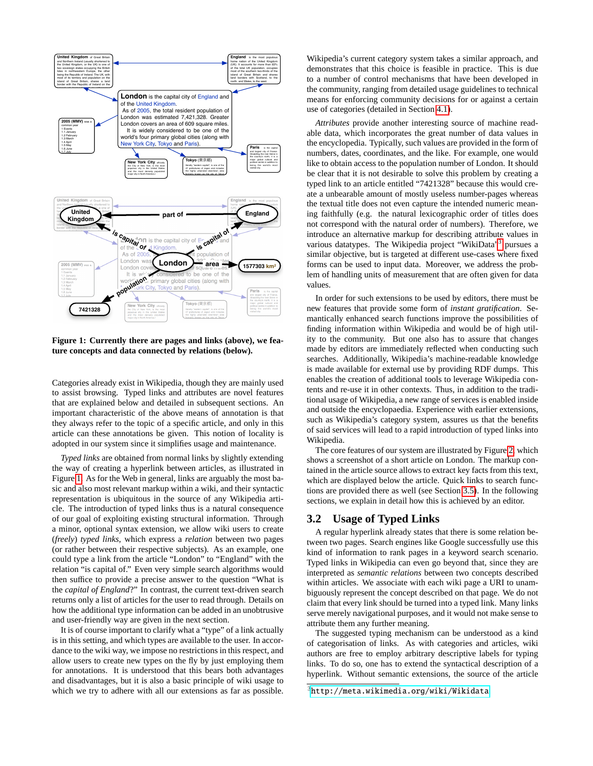

<span id="page-2-0"></span>**Figure 1: Currently there are pages and links (above), we feature concepts and data connected by relations (below).**

Categories already exist in Wikipedia, though they are mainly used to assist browsing. Typed links and attributes are novel features that are explained below and detailed in subsequent sections. An important characteristic of the above means of annotation is that they always refer to the topic of a specific article, and only in this article can these annotations be given. This notion of locality is adopted in our system since it simplifies usage and maintenance.

*Typed links* are obtained from normal links by slightly extending the way of creating a hyperlink between articles, as illustrated in Figure [1.](#page-2-0) As for the Web in general, links are arguably the most basic and also most relevant markup within a wiki, and their syntactic representation is ubiquitous in the source of any Wikipedia article. The introduction of typed links thus is a natural consequence of our goal of exploiting existing structural information. Through a minor, optional syntax extension, we allow wiki users to create (*freely*) *typed links*, which express a *relation* between two pages (or rather between their respective subjects). As an example, one could type a link from the article "London" to "England" with the relation "is capital of." Even very simple search algorithms would then suffice to provide a precise answer to the question "What is the *capital of England*?" In contrast, the current text-driven search returns only a list of articles for the user to read through. Details on how the additional type information can be added in an unobtrusive and user-friendly way are given in the next section.

It is of course important to clarify what a "type" of a link actually is in this setting, and which types are available to the user. In accordance to the wiki way, we impose no restrictions in this respect, and allow users to create new types on the fly by just employing them for annotations. It is understood that this bears both advantages and disadvantages, but it is also a basic principle of wiki usage to which we try to adhere with all our extensions as far as possible.

Wikipedia's current category system takes a similar approach, and demonstrates that this choice is feasible in practice. This is due to a number of control mechanisms that have been developed in the community, ranging from detailed usage guidelines to technical means for enforcing community decisions for or against a certain use of categories (detailed in Section [4.1\)](#page-5-0).

*Attributes* provide another interesting source of machine readable data, which incorporates the great number of data values in the encyclopedia. Typically, such values are provided in the form of numbers, dates, coordinates, and the like. For example, one would like to obtain access to the population number of London. It should be clear that it is not desirable to solve this problem by creating a typed link to an article entitled "7421328" because this would create a unbearable amount of mostly useless number-pages whereas the textual title does not even capture the intended numeric meaning faithfully (e.g. the natural lexicographic order of titles does not correspond with the natural order of numbers). Therefore, we introduce an alternative markup for describing attribute values in various datatypes. The Wikipedia project "WikiData"[3](#page-2-1) pursues a similar objective, but is targeted at different use-cases where fixed forms can be used to input data. Moreover, we address the problem of handling units of measurement that are often given for data values.

In order for such extensions to be used by editors, there must be new features that provide some form of *instant gratification*. Semantically enhanced search functions improve the possibilities of finding information within Wikipedia and would be of high utility to the community. But one also has to assure that changes made by editors are immediately reflected when conducting such searches. Additionally, Wikipedia's machine-readable knowledge is made available for external use by providing RDF dumps. This enables the creation of additional tools to leverage Wikipedia contents and re-use it in other contexts. Thus, in addition to the traditional usage of Wikipedia, a new range of services is enabled inside and outside the encyclopaedia. Experience with earlier extensions, such as Wikipedia's category system, assures us that the benefits of said services will lead to a rapid introduction of typed links into Wikipedia.

The core features of our system are illustrated by Figure [2,](#page-3-0) which shows a screenshot of a short article on London. The markup contained in the article source allows to extract key facts from this text, which are displayed below the article. Quick links to search functions are provided there as well (see Section [3.5\)](#page-4-1). In the following sections, we explain in detail how this is achieved by an editor.

## **3.2 Usage of Typed Links**

A regular hyperlink already states that there is some relation between two pages. Search engines like Google successfully use this kind of information to rank pages in a keyword search scenario. Typed links in Wikipedia can even go beyond that, since they are interpreted as *semantic relations* between two concepts described within articles. We associate with each wiki page a URI to unambiguously represent the concept described on that page. We do not claim that every link should be turned into a typed link. Many links serve merely navigational purposes, and it would not make sense to attribute them any further meaning.

The suggested typing mechanism can be understood as a kind of categorisation of links. As with categories and articles, wiki authors are free to employ arbitrary descriptive labels for typing links. To do so, one has to extend the syntactical description of a hyperlink. Without semantic extensions, the source of the article

<span id="page-2-1"></span><sup>3</sup><http://meta.wikimedia.org/wiki/Wikidata>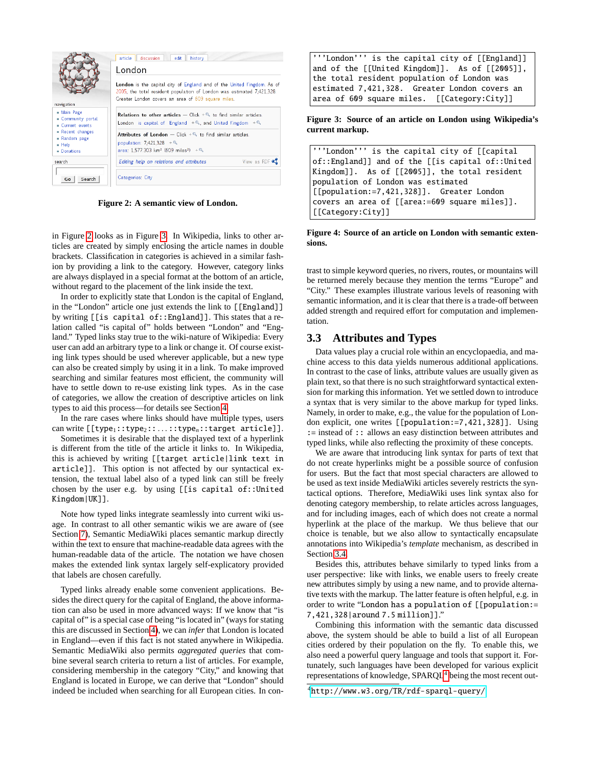

**Figure 2: A semantic view of London.**

<span id="page-3-0"></span>in Figure [2](#page-3-0) looks as in Figure [3.](#page-3-1) In Wikipedia, links to other articles are created by simply enclosing the article names in double brackets. Classification in categories is achieved in a similar fashion by providing a link to the category. However, category links are always displayed in a special format at the bottom of an article, without regard to the placement of the link inside the text.

In order to explicitly state that London is the capital of England, in the "London" article one just extends the link to [[England]] by writing [[is capital of::England]]. This states that a relation called "is capital of" holds between "London" and "England." Typed links stay true to the wiki-nature of Wikipedia: Every user can add an arbitrary type to a link or change it. Of course existing link types should be used wherever applicable, but a new type can also be created simply by using it in a link. To make improved searching and similar features most efficient, the community will have to settle down to re-use existing link types. As in the case of categories, we allow the creation of descriptive articles on link types to aid this process—for details see Section [4.](#page-4-0)

In the rare cases where links should have multiple types, users can write [[type<sub>1</sub>::type<sub>2</sub>::...::type<sub>n</sub>::target article]].

Sometimes it is desirable that the displayed text of a hyperlink is different from the title of the article it links to. In Wikipedia, this is achieved by writing [[target article|link text in article]]. This option is not affected by our syntactical extension, the textual label also of a typed link can still be freely chosen by the user e.g. by using [[is capital of::United Kingdom|UK]].

Note how typed links integrate seamlessly into current wiki usage. In contrast to all other semantic wikis we are aware of (see Section [7\)](#page-8-0), Semantic MediaWiki places semantic markup directly within the text to ensure that machine-readable data agrees with the human-readable data of the article. The notation we have chosen makes the extended link syntax largely self-explicatory provided that labels are chosen carefully.

Typed links already enable some convenient applications. Besides the direct query for the capital of England, the above information can also be used in more advanced ways: If we know that "is capital of" is a special case of being "is located in" (ways for stating this are discussed in Section [4\)](#page-4-0), we can *infer* that London is located in England—even if this fact is not stated anywhere in Wikipedia. Semantic MediaWiki also permits *aggregated queries* that combine several search criteria to return a list of articles. For example, considering membership in the category "City," and knowing that England is located in Europe, we can derive that "London" should indeed be included when searching for all European cities. In con-

'''London''' is the capital city of [[England]] and of the [[United Kingdom]]. As of [[2005]], the total resident population of London was estimated 7,421,328. Greater London covers an area of 609 square miles. [[Category:City]]

<span id="page-3-1"></span>**Figure 3: Source of an article on London using Wikipedia's current markup.**

'''London''' is the capital city of [[capital of::England]] and of the [[is capital of::United Kingdom]]. As of [[2005]], the total resident population of London was estimated [[population:=7,421,328]]. Greater London covers an area of [[area:=609 square miles]]. [[Category:City]]

<span id="page-3-3"></span>**Figure 4: Source of an article on London with semantic extensions.**

trast to simple keyword queries, no rivers, routes, or mountains will be returned merely because they mention the terms "Europe" and "City." These examples illustrate various levels of reasoning with semantic information, and it is clear that there is a trade-off between added strength and required effort for computation and implementation.

## **3.3 Attributes and Types**

Data values play a crucial role within an encyclopaedia, and machine access to this data yields numerous additional applications. In contrast to the case of links, attribute values are usually given as plain text, so that there is no such straightforward syntactical extension for marking this information. Yet we settled down to introduce a syntax that is very similar to the above markup for typed links. Namely, in order to make, e.g., the value for the population of London explicit, one writes [[population:=7,421,328]]. Using := instead of :: allows an easy distinction between attributes and typed links, while also reflecting the proximity of these concepts.

We are aware that introducing link syntax for parts of text that do not create hyperlinks might be a possible source of confusion for users. But the fact that most special characters are allowed to be used as text inside MediaWiki articles severely restricts the syntactical options. Therefore, MediaWiki uses link syntax also for denoting category membership, to relate articles across languages, and for including images, each of which does not create a normal hyperlink at the place of the markup. We thus believe that our choice is tenable, but we also allow to syntactically encapsulate annotations into Wikipedia's *template* mechanism, as described in Section [3.4.](#page-4-2)

Besides this, attributes behave similarly to typed links from a user perspective: like with links, we enable users to freely create new attributes simply by using a new name, and to provide alternative texts with the markup. The latter feature is often helpful, e.g. in order to write "London has a population of [[population:= 7,421,328|around 7.5 million]]."

Combining this information with the semantic data discussed above, the system should be able to build a list of all European cities ordered by their population on the fly. To enable this, we also need a powerful query language and tools that support it. Fortunately, such languages have been developed for various explicit representations of knowledge, SPARQL<sup>[4](#page-3-2)</sup> being the most recent out-

<span id="page-3-2"></span><sup>4</sup><http://www.w3.org/TR/rdf-sparql-query/>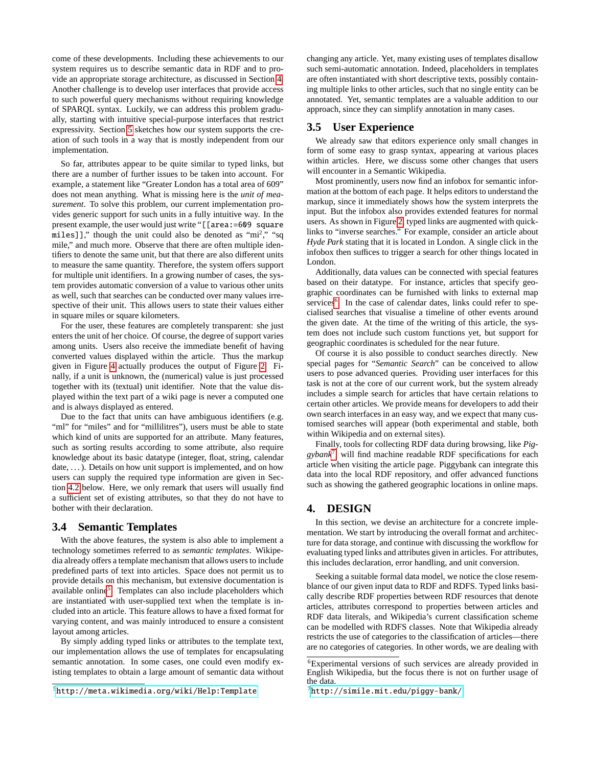come of these developments. Including these achievements to our system requires us to describe semantic data in RDF and to provide an appropriate storage architecture, as discussed in Section [4.](#page-4-0) Another challenge is to develop user interfaces that provide access to such powerful query mechanisms without requiring knowledge of SPARQL syntax. Luckily, we can address this problem gradually, starting with intuitive special-purpose interfaces that restrict expressivity. Section [5](#page-7-0) sketches how our system supports the creation of such tools in a way that is mostly independent from our implementation.

So far, attributes appear to be quite similar to typed links, but there are a number of further issues to be taken into account. For example, a statement like "Greater London has a total area of 609" does not mean anything. What is missing here is the *unit of measurement*. To solve this problem, our current implementation provides generic support for such units in a fully intuitive way. In the present example, the user would just write "[[area:=609 square miles]]," though the unit could also be denoted as "mi<sup>2</sup>," "sq mile," and much more. Observe that there are often multiple identifiers to denote the same unit, but that there are also different units to measure the same quantity. Therefore, the system offers support for multiple unit identifiers. In a growing number of cases, the system provides automatic conversion of a value to various other units as well, such that searches can be conducted over many values irrespective of their unit. This allows users to state their values either in square miles or square kilometers.

For the user, these features are completely transparent: she just enters the unit of her choice. Of course, the degree of support varies among units. Users also receive the immediate benefit of having converted values displayed within the article. Thus the markup given in Figure [4](#page-3-3) actually produces the output of Figure [2.](#page-3-0) Finally, if a unit is unknown, the (numerical) value is just processed together with its (textual) unit identifier. Note that the value displayed within the text part of a wiki page is never a computed one and is always displayed as entered.

Due to the fact that units can have ambiguous identifiers (e.g. "ml" for "miles" and for "millilitres"), users must be able to state which kind of units are supported for an attribute. Many features, such as sorting results according to some attribute, also require knowledge about its basic datatype (integer, float, string, calendar date, ...). Details on how unit support is implemented, and on how users can supply the required type information are given in Section [4.2](#page-5-1) below. Here, we only remark that users will usually find a sufficient set of existing attributes, so that they do not have to bother with their declaration.

## <span id="page-4-2"></span>**3.4 Semantic Templates**

With the above features, the system is also able to implement a technology sometimes referred to as *semantic templates*. Wikipedia already offers a template mechanism that allows users to include predefined parts of text into articles. Space does not permit us to provide details on this mechanism, but extensive documentation is available online<sup>[5](#page-4-3)</sup>. Templates can also include placeholders which are instantiated with user-supplied text when the template is included into an article. This feature allows to have a fixed format for varying content, and was mainly introduced to ensure a consistent layout among articles.

By simply adding typed links or attributes to the template text, our implementation allows the use of templates for encapsulating semantic annotation. In some cases, one could even modify existing templates to obtain a large amount of semantic data without changing any article. Yet, many existing uses of templates disallow such semi-automatic annotation. Indeed, placeholders in templates are often instantiated with short descriptive texts, possibly containing multiple links to other articles, such that no single entity can be annotated. Yet, semantic templates are a valuable addition to our approach, since they can simplify annotation in many cases.

#### <span id="page-4-1"></span>**3.5 User Experience**

We already saw that editors experience only small changes in form of some easy to grasp syntax, appearing at various places within articles. Here, we discuss some other changes that users will encounter in a Semantic Wikipedia.

Most prominently, users now find an infobox for semantic information at the bottom of each page. It helps editors to understand the markup, since it immediately shows how the system interprets the input. But the infobox also provides extended features for normal users. As shown in Figure [2,](#page-3-0) typed links are augmented with quicklinks to "inverse searches." For example, consider an article about *Hyde Park* stating that it is located in London. A single click in the infobox then suffices to trigger a search for other things located in London.

Additionally, data values can be connected with special features based on their datatype. For instance, articles that specify geographic coordinates can be furnished with links to external map services<sup>[6](#page-4-4)</sup>. In the case of calendar dates, links could refer to specialised searches that visualise a timeline of other events around the given date. At the time of the writing of this article, the system does not include such custom functions yet, but support for geographic coordinates is scheduled for the near future.

Of course it is also possible to conduct searches directly. New special pages for "*Semantic Search*" can be conceived to allow users to pose advanced queries. Providing user interfaces for this task is not at the core of our current work, but the system already includes a simple search for articles that have certain relations to certain other articles. We provide means for developers to add their own search interfaces in an easy way, and we expect that many customised searches will appear (both experimental and stable, both within Wikipedia and on external sites).

Finally, tools for collecting RDF data during browsing, like *Piggybank*[7](#page-4-5) , will find machine readable RDF specifications for each article when visiting the article page. Piggybank can integrate this data into the local RDF repository, and offer advanced functions such as showing the gathered geographic locations in online maps.

#### <span id="page-4-0"></span>**4. DESIGN**

In this section, we devise an architecture for a concrete implementation. We start by introducing the overall format and architecture for data storage, and continue with discussing the workflow for evaluating typed links and attributes given in articles. For attributes, this includes declaration, error handling, and unit conversion.

Seeking a suitable formal data model, we notice the close resemblance of our given input data to RDF and RDFS. Typed links basically describe RDF properties between RDF resources that denote articles, attributes correspond to properties between articles and RDF data literals, and Wikipedia's current classification scheme can be modelled with RDFS classes. Note that Wikipedia already restricts the use of categories to the classification of articles—there are no categories of categories. In other words, we are dealing with

<span id="page-4-3"></span><sup>5</sup><http://meta.wikimedia.org/wiki/Help:Template>

<span id="page-4-4"></span><sup>6</sup>Experimental versions of such services are already provided in English Wikipedia, but the focus there is not on further usage of the data.

<span id="page-4-5"></span> $^{7}$ <http://simile.mit.edu/piggy-bank/>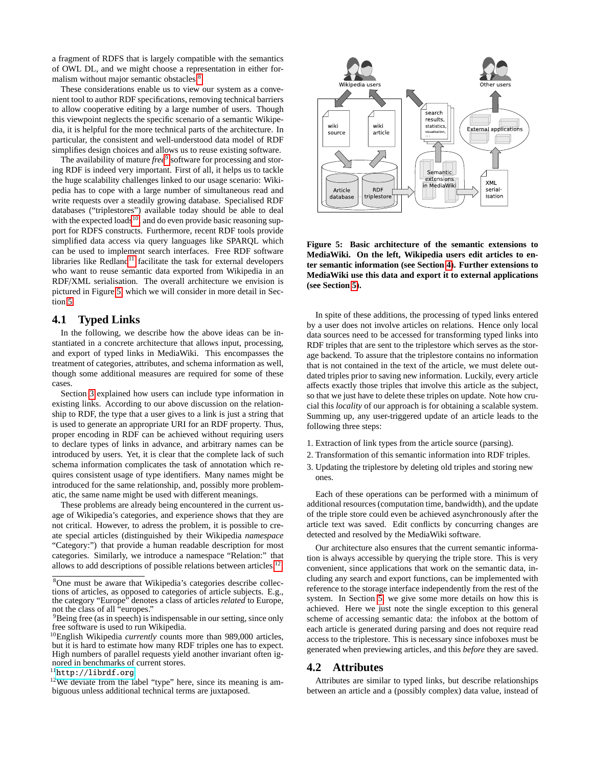a fragment of RDFS that is largely compatible with the semantics of OWL DL, and we might choose a representation in either for-malism without major semantic obstacles.<sup>[8](#page-5-2)</sup>

These considerations enable us to view our system as a convenient tool to author RDF specifications, removing technical barriers to allow cooperative editing by a large number of users. Though this viewpoint neglects the specific scenario of a semantic Wikipedia, it is helpful for the more technical parts of the architecture. In particular, the consistent and well-understood data model of RDF simplifies design choices and allows us to reuse existing software.

The availability of mature *free*<sup>[9](#page-5-3)</sup> software for processing and storing RDF is indeed very important. First of all, it helps us to tackle the huge scalability challenges linked to our usage scenario: Wikipedia has to cope with a large number of simultaneous read and write requests over a steadily growing database. Specialised RDF databases ("triplestores") available today should be able to deal with the expected loads<sup>[10](#page-5-4)</sup>, and do even provide basic reasoning support for RDFS constructs. Furthermore, recent RDF tools provide simplified data access via query languages like SPARQL which can be used to implement search interfaces. Free RDF software libraries like  $\text{Redland}^{11}$  $\text{Redland}^{11}$  $\text{Redland}^{11}$  facilitate the task for external developers who want to reuse semantic data exported from Wikipedia in an RDF/XML serialisation. The overall architecture we envision is pictured in Figure [5,](#page-5-6) which we will consider in more detail in Section [5.](#page-7-0)

## <span id="page-5-0"></span>**4.1 Typed Links**

In the following, we describe how the above ideas can be instantiated in a concrete architecture that allows input, processing, and export of typed links in MediaWiki. This encompasses the treatment of categories, attributes, and schema information as well, though some additional measures are required for some of these cases.

Section [3](#page-1-0) explained how users can include type information in existing links. According to our above discussion on the relationship to RDF, the type that a user gives to a link is just a string that is used to generate an appropriate URI for an RDF property. Thus, proper encoding in RDF can be achieved without requiring users to declare types of links in advance, and arbitrary names can be introduced by users. Yet, it is clear that the complete lack of such schema information complicates the task of annotation which requires consistent usage of type identifiers. Many names might be introduced for the same relationship, and, possibly more problematic, the same name might be used with different meanings.

These problems are already being encountered in the current usage of Wikipedia's categories, and experience shows that they are not critical. However, to adress the problem, it is possible to create special articles (distinguished by their Wikipedia *namespace* "Category:") that provide a human readable description for most categories. Similarly, we introduce a namespace "Relation:" that allows to add descriptions of possible relations between articles.[12](#page-5-7)



<span id="page-5-6"></span>**Figure 5: Basic architecture of the semantic extensions to MediaWiki. On the left, Wikipedia users edit articles to enter semantic information (see Section [4\)](#page-4-0). Further extensions to MediaWiki use this data and export it to external applications (see Section [5\)](#page-7-0).**

In spite of these additions, the processing of typed links entered by a user does not involve articles on relations. Hence only local data sources need to be accessed for transforming typed links into RDF triples that are sent to the triplestore which serves as the storage backend. To assure that the triplestore contains no information that is not contained in the text of the article, we must delete outdated triples prior to saving new information. Luckily, every article affects exactly those triples that involve this article as the subject, so that we just have to delete these triples on update. Note how crucial this *locality* of our approach is for obtaining a scalable system. Summing up, any user-triggered update of an article leads to the following three steps:

- 1. Extraction of link types from the article source (parsing).
- 2. Transformation of this semantic information into RDF triples.
- 3. Updating the triplestore by deleting old triples and storing new ones.

Each of these operations can be performed with a minimum of additional resources (computation time, bandwidth), and the update of the triple store could even be achieved asynchronously after the article text was saved. Edit conflicts by concurring changes are detected and resolved by the MediaWiki software.

Our architecture also ensures that the current semantic information is always accessible by querying the triple store. This is very convenient, since applications that work on the semantic data, including any search and export functions, can be implemented with reference to the storage interface independently from the rest of the system. In Section [5,](#page-7-0) we give some more details on how this is achieved. Here we just note the single exception to this general scheme of accessing semantic data: the infobox at the bottom of each article is generated during parsing and does not require read access to the triplestore. This is necessary since infoboxes must be generated when previewing articles, and this *before* they are saved.

#### <span id="page-5-1"></span>**4.2 Attributes**

Attributes are similar to typed links, but describe relationships between an article and a (possibly complex) data value, instead of

<span id="page-5-2"></span><sup>8</sup>One must be aware that Wikipedia's categories describe collections of articles, as opposed to categories of article subjects. E.g., the category "Europe" denotes a class of articles *related* to Europe, not the class of all "europes."

<span id="page-5-3"></span><sup>&</sup>lt;sup>9</sup>Being free (as in speech) is indispensable in our setting, since only free software is used to run Wikipedia.

<span id="page-5-4"></span><sup>10</sup>English Wikipedia *currently* counts more than 989,000 articles, but it is hard to estimate how many RDF triples one has to expect. High numbers of parallel requests yield another invariant often ignored in benchmarks of current stores.

<span id="page-5-5"></span><sup>11</sup><http://librdf.org>

<span id="page-5-7"></span> $12$ We deviate from the label "type" here, since its meaning is ambiguous unless additional technical terms are juxtaposed.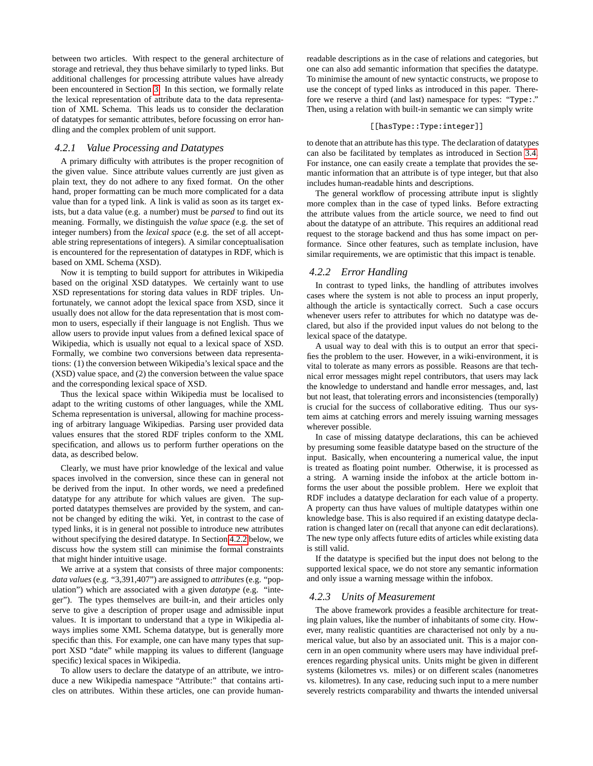between two articles. With respect to the general architecture of storage and retrieval, they thus behave similarly to typed links. But additional challenges for processing attribute values have already been encountered in Section [3.](#page-1-0) In this section, we formally relate the lexical representation of attribute data to the data representation of XML Schema. This leads us to consider the declaration of datatypes for semantic attributes, before focussing on error handling and the complex problem of unit support.

#### *4.2.1 Value Processing and Datatypes*

A primary difficulty with attributes is the proper recognition of the given value. Since attribute values currently are just given as plain text, they do not adhere to any fixed format. On the other hand, proper formatting can be much more complicated for a data value than for a typed link. A link is valid as soon as its target exists, but a data value (e.g. a number) must be *parsed* to find out its meaning. Formally, we distinguish the *value space* (e.g. the set of integer numbers) from the *lexical space* (e.g. the set of all acceptable string representations of integers). A similar conceptualisation is encountered for the representation of datatypes in RDF, which is based on XML Schema (XSD).

Now it is tempting to build support for attributes in Wikipedia based on the original XSD datatypes. We certainly want to use XSD representations for storing data values in RDF triples. Unfortunately, we cannot adopt the lexical space from XSD, since it usually does not allow for the data representation that is most common to users, especially if their language is not English. Thus we allow users to provide input values from a defined lexical space of Wikipedia, which is usually not equal to a lexical space of XSD. Formally, we combine two conversions between data representations: (1) the conversion between Wikipedia's lexical space and the (XSD) value space, and (2) the conversion between the value space and the corresponding lexical space of XSD.

Thus the lexical space within Wikipedia must be localised to adapt to the writing customs of other languages, while the XML Schema representation is universal, allowing for machine processing of arbitrary language Wikipedias. Parsing user provided data values ensures that the stored RDF triples conform to the XML specification, and allows us to perform further operations on the data, as described below.

Clearly, we must have prior knowledge of the lexical and value spaces involved in the conversion, since these can in general not be derived from the input. In other words, we need a predefined datatype for any attribute for which values are given. The supported datatypes themselves are provided by the system, and cannot be changed by editing the wiki. Yet, in contrast to the case of typed links, it is in general not possible to introduce new attributes without specifying the desired datatype. In Section [4.2.2](#page-6-0) below, we discuss how the system still can minimise the formal constraints that might hinder intuitive usage.

We arrive at a system that consists of three major components: *data values* (e.g. "3,391,407") are assigned to *attributes* (e.g. "population") which are associated with a given *datatype* (e.g. "integer"). The types themselves are built-in, and their articles only serve to give a description of proper usage and admissible input values. It is important to understand that a type in Wikipedia always implies some XML Schema datatype, but is generally more specific than this. For example, one can have many types that support XSD "date" while mapping its values to different (language specific) lexical spaces in Wikipedia.

To allow users to declare the datatype of an attribute, we introduce a new Wikipedia namespace "Attribute:" that contains articles on attributes. Within these articles, one can provide humanreadable descriptions as in the case of relations and categories, but one can also add semantic information that specifies the datatype. To minimise the amount of new syntactic constructs, we propose to use the concept of typed links as introduced in this paper. Therefore we reserve a third (and last) namespace for types: "Type:." Then, using a relation with built-in semantic we can simply write

#### [[hasType::Type:integer]]

to denote that an attribute has this type. The declaration of datatypes can also be facilitated by templates as introduced in Section [3.4.](#page-4-2) For instance, one can easily create a template that provides the semantic information that an attribute is of type integer, but that also includes human-readable hints and descriptions.

The general workflow of processing attribute input is slightly more complex than in the case of typed links. Before extracting the attribute values from the article source, we need to find out about the datatype of an attribute. This requires an additional read request to the storage backend and thus has some impact on performance. Since other features, such as template inclusion, have similar requirements, we are optimistic that this impact is tenable.

#### <span id="page-6-0"></span>*4.2.2 Error Handling*

In contrast to typed links, the handling of attributes involves cases where the system is not able to process an input properly, although the article is syntactically correct. Such a case occurs whenever users refer to attributes for which no datatype was declared, but also if the provided input values do not belong to the lexical space of the datatype.

A usual way to deal with this is to output an error that specifies the problem to the user. However, in a wiki-environment, it is vital to tolerate as many errors as possible. Reasons are that technical error messages might repel contributors, that users may lack the knowledge to understand and handle error messages, and, last but not least, that tolerating errors and inconsistencies (temporally) is crucial for the success of collaborative editing. Thus our system aims at catching errors and merely issuing warning messages wherever possible.

In case of missing datatype declarations, this can be achieved by presuming some feasible datatype based on the structure of the input. Basically, when encountering a numerical value, the input is treated as floating point number. Otherwise, it is processed as a string. A warning inside the infobox at the article bottom informs the user about the possible problem. Here we exploit that RDF includes a datatype declaration for each value of a property. A property can thus have values of multiple datatypes within one knowledge base. This is also required if an existing datatype declaration is changed later on (recall that anyone can edit declarations). The new type only affects future edits of articles while existing data is still valid.

If the datatype is specified but the input does not belong to the supported lexical space, we do not store any semantic information and only issue a warning message within the infobox.

#### *4.2.3 Units of Measurement*

The above framework provides a feasible architecture for treating plain values, like the number of inhabitants of some city. However, many realistic quantities are characterised not only by a numerical value, but also by an associated unit. This is a major concern in an open community where users may have individual preferences regarding physical units. Units might be given in different systems (kilometres vs. miles) or on different scales (nanometres vs. kilometres). In any case, reducing such input to a mere number severely restricts comparability and thwarts the intended universal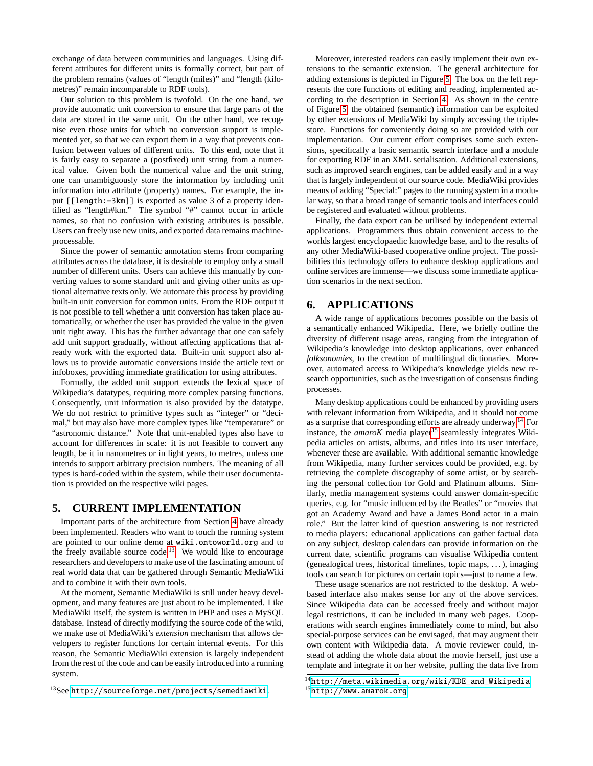exchange of data between communities and languages. Using different attributes for different units is formally correct, but part of the problem remains (values of "length (miles)" and "length (kilometres)" remain incomparable to RDF tools).

Our solution to this problem is twofold. On the one hand, we provide automatic unit conversion to ensure that large parts of the data are stored in the same unit. On the other hand, we recognise even those units for which no conversion support is implemented yet, so that we can export them in a way that prevents confusion between values of different units. To this end, note that it is fairly easy to separate a (postfixed) unit string from a numerical value. Given both the numerical value and the unit string, one can unambiguously store the information by including unit information into attribute (property) names. For example, the input [[length:=3km]] is exported as value 3 of a property identified as "length#km." The symbol "#" cannot occur in article names, so that no confusion with existing attributes is possible. Users can freely use new units, and exported data remains machineprocessable.

Since the power of semantic annotation stems from comparing attributes across the database, it is desirable to employ only a small number of different units. Users can achieve this manually by converting values to some standard unit and giving other units as optional alternative texts only. We automate this process by providing built-in unit conversion for common units. From the RDF output it is not possible to tell whether a unit conversion has taken place automatically, or whether the user has provided the value in the given unit right away. This has the further advantage that one can safely add unit support gradually, without affecting applications that already work with the exported data. Built-in unit support also allows us to provide automatic conversions inside the article text or infoboxes, providing immediate gratification for using attributes.

Formally, the added unit support extends the lexical space of Wikipedia's datatypes, requiring more complex parsing functions. Consequently, unit information is also provided by the datatype. We do not restrict to primitive types such as "integer" or "decimal," but may also have more complex types like "temperature" or "astronomic distance." Note that unit-enabled types also have to account for differences in scale: it is not feasible to convert any length, be it in nanometres or in light years, to metres, unless one intends to support arbitrary precision numbers. The meaning of all types is hard-coded within the system, while their user documentation is provided on the respective wiki pages.

#### <span id="page-7-0"></span>**5. CURRENT IMPLEMENTATION**

Important parts of the architecture from Section [4](#page-4-0) have already been implemented. Readers who want to touch the running system are pointed to our online demo at wiki.ontoworld.org and to the freely available source code.<sup>[13](#page-7-2)</sup> We would like to encourage researchers and developers to make use of the fascinating amount of real world data that can be gathered through Semantic MediaWiki and to combine it with their own tools.

At the moment, Semantic MediaWiki is still under heavy development, and many features are just about to be implemented. Like MediaWiki itself, the system is written in PHP and uses a MySQL database. Instead of directly modifying the source code of the wiki, we make use of MediaWiki's *extension* mechanism that allows developers to register functions for certain internal events. For this reason, the Semantic MediaWiki extension is largely independent from the rest of the code and can be easily introduced into a running system.

Moreover, interested readers can easily implement their own extensions to the semantic extension. The general architecture for adding extensions is depicted in Figure [5.](#page-5-6) The box on the left represents the core functions of editing and reading, implemented according to the description in Section [4.](#page-4-0) As shown in the centre of Figure [5,](#page-5-6) the obtained (semantic) information can be exploited by other extensions of MediaWiki by simply accessing the triplestore. Functions for conveniently doing so are provided with our implementation. Our current effort comprises some such extensions, specifically a basic semantic search interface and a module for exporting RDF in an XML serialisation. Additional extensions, such as improved search engines, can be added easily and in a way that is largely independent of our source code. MediaWiki provides means of adding "Special:" pages to the running system in a modular way, so that a broad range of semantic tools and interfaces could be registered and evaluated without problems.

Finally, the data export can be utilised by independent external applications. Programmers thus obtain convenient access to the worlds largest encyclopaedic knowledge base, and to the results of any other MediaWiki-based cooperative online project. The possibilities this technology offers to enhance desktop applications and online services are immense—we discuss some immediate application scenarios in the next section.

## <span id="page-7-1"></span>**6. APPLICATIONS**

A wide range of applications becomes possible on the basis of a semantically enhanced Wikipedia. Here, we briefly outline the diversity of different usage areas, ranging from the integration of Wikipedia's knowledge into desktop applications, over enhanced *folksonomies*, to the creation of multilingual dictionaries. Moreover, automated access to Wikipedia's knowledge yields new research opportunities, such as the investigation of consensus finding processes.

Many desktop applications could be enhanced by providing users with relevant information from Wikipedia, and it should not come as a surprise that corresponding efforts are already underway.[14](#page-7-3) For instance, the *amaroK* media player<sup>[15](#page-7-4)</sup> seamlessly integrates Wikipedia articles on artists, albums, and titles into its user interface, whenever these are available. With additional semantic knowledge from Wikipedia, many further services could be provided, e.g. by retrieving the complete discography of some artist, or by searching the personal collection for Gold and Platinum albums. Similarly, media management systems could answer domain-specific queries, e.g. for "music influenced by the Beatles" or "movies that got an Academy Award and have a James Bond actor in a main role." But the latter kind of question answering is not restricted to media players: educational applications can gather factual data on any subject, desktop calendars can provide information on the current date, scientific programs can visualise Wikipedia content (genealogical trees, historical timelines, topic maps, . . . ), imaging tools can search for pictures on certain topics—just to name a few.

These usage scenarios are not restricted to the desktop. A webbased interface also makes sense for any of the above services. Since Wikipedia data can be accessed freely and without major legal restrictions, it can be included in many web pages. Cooperations with search engines immediately come to mind, but also special-purpose services can be envisaged, that may augment their own content with Wikipedia data. A movie reviewer could, instead of adding the whole data about the movie herself, just use a template and integrate it on her website, pulling the data live from

<span id="page-7-2"></span><sup>13</sup>See <http://sourceforge.net/projects/semediawiki>.

<span id="page-7-4"></span><span id="page-7-3"></span><sup>14</sup>[http://meta.wikimedia.org/wiki/KDE\\_and\\_Wikipedia](http://meta.wikimedia.org/wiki/KDE_and_Wikipedia) 15<http://www.amarok.org>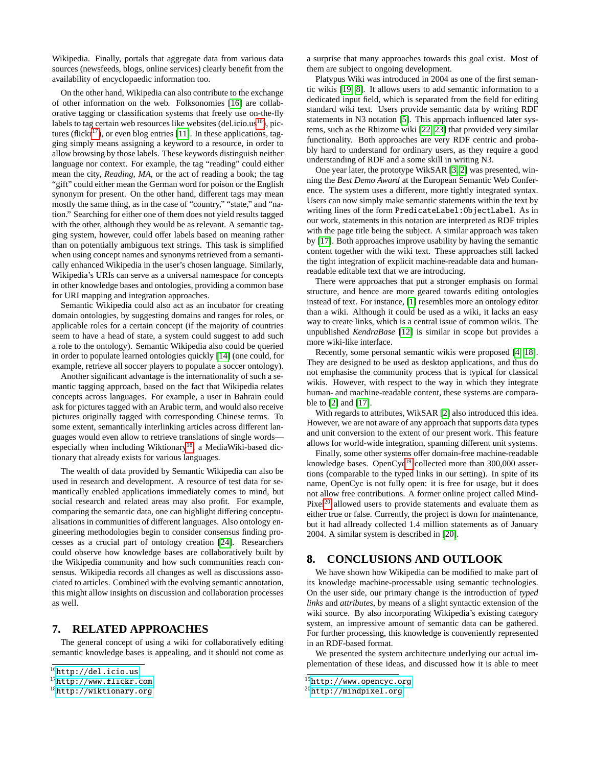Wikipedia. Finally, portals that aggregate data from various data sources (newsfeeds, blogs, online services) clearly benefit from the availability of encyclopaedic information too.

On the other hand, Wikipedia can also contribute to the exchange of other information on the web. Folksonomies [\[16\]](#page-9-7) are collaborative tagging or classification systems that freely use on-the-fly labels to tag certain web resources like websites (del.icio.us<sup>[16](#page-8-2)</sup>), pictures (flick $r^{17}$  $r^{17}$  $r^{17}$ ), or even blog entries [\[11\]](#page-9-8). In these applications, tagging simply means assigning a keyword to a resource, in order to allow browsing by those labels. These keywords distinguish neither language nor context. For example, the tag "reading" could either mean the city, *Reading, MA*, or the act of reading a book; the tag "gift" could either mean the German word for poison or the English synonym for present. On the other hand, different tags may mean mostly the same thing, as in the case of "country," "state," and "nation." Searching for either one of them does not yield results tagged with the other, although they would be as relevant. A semantic tagging system, however, could offer labels based on meaning rather than on potentially ambiguous text strings. This task is simplified when using concept names and synonyms retrieved from a semantically enhanced Wikipedia in the user's chosen language. Similarly, Wikipedia's URIs can serve as a universal namespace for concepts in other knowledge bases and ontologies, providing a common base for URI mapping and integration approaches.

Semantic Wikipedia could also act as an incubator for creating domain ontologies, by suggesting domains and ranges for roles, or applicable roles for a certain concept (if the majority of countries seem to have a head of state, a system could suggest to add such a role to the ontology). Semantic Wikipedia also could be queried in order to populate learned ontologies quickly [\[14\]](#page-9-9) (one could, for example, retrieve all soccer players to populate a soccer ontology).

Another significant advantage is the internationality of such a semantic tagging approach, based on the fact that Wikipedia relates concepts across languages. For example, a user in Bahrain could ask for pictures tagged with an Arabic term, and would also receive pictures originally tagged with corresponding Chinese terms. To some extent, semantically interlinking articles across different languages would even allow to retrieve translations of single words— especially when including Wiktionary<sup>[18](#page-8-4)</sup>, a MediaWiki-based dictionary that already exists for various languages.

The wealth of data provided by Semantic Wikipedia can also be used in research and development. A resource of test data for semantically enabled applications immediately comes to mind, but social research and related areas may also profit. For example, comparing the semantic data, one can highlight differing conceptualisations in communities of different languages. Also ontology engineering methodologies begin to consider consensus finding processes as a crucial part of ontology creation [\[24\]](#page-9-10). Researchers could observe how knowledge bases are collaboratively built by the Wikipedia community and how such communities reach consensus. Wikipedia records all changes as well as discussions associated to articles. Combined with the evolving semantic annotation, this might allow insights on discussion and collaboration processes as well.

#### <span id="page-8-0"></span>**7. RELATED APPROACHES**

The general concept of using a wiki for collaboratively editing semantic knowledge bases is appealing, and it should not come as a surprise that many approaches towards this goal exist. Most of them are subject to ongoing development.

Platypus Wiki was introduced in 2004 as one of the first semantic wikis [\[19,](#page-9-11) [8\]](#page-9-12). It allows users to add semantic information to a dedicated input field, which is separated from the field for editing standard wiki text. Users provide semantic data by writing RDF statements in N3 notation [\[5\]](#page-9-13). This approach influenced later systems, such as the Rhizome wiki [\[22,](#page-9-14) [23\]](#page-9-15) that provided very similar functionality. Both approaches are very RDF centric and probably hard to understand for ordinary users, as they require a good understanding of RDF and a some skill in writing N3.

One year later, the prototype WikSAR [\[3,](#page-9-16) [2\]](#page-9-17) was presented, winning the *Best Demo Award* at the European Semantic Web Conference. The system uses a different, more tightly integrated syntax. Users can now simply make semantic statements within the text by writing lines of the form PredicateLabel:ObjectLabel. As in our work, statements in this notation are interpreted as RDF triples with the page title being the subject. A similar approach was taken by [\[17\]](#page-9-18). Both approaches improve usability by having the semantic content together with the wiki text. These approaches still lacked the tight integration of explicit machine-readable data and humanreadable editable text that we are introducing.

There were approaches that put a stronger emphasis on formal structure, and hence are more geared towards editing ontologies instead of text. For instance, [\[1\]](#page-9-19) resembles more an ontology editor than a wiki. Although it could be used as a wiki, it lacks an easy way to create links, which is a central issue of common wikis. The unpublished *KendraBase* [\[12\]](#page-9-20) is similar in scope but provides a more wiki-like interface.

Recently, some personal semantic wikis were proposed [\[4,](#page-9-21) [18\]](#page-9-22). They are designed to be used as desktop applications, and thus do not emphasise the community process that is typical for classical wikis. However, with respect to the way in which they integrate human- and machine-readable content, these systems are comparable to [\[2\]](#page-9-17) and [\[17\]](#page-9-18).

With regards to attributes, WikSAR [\[2\]](#page-9-17) also introduced this idea. However, we are not aware of any approach that supports data types and unit conversion to the extent of our present work. This feature allows for world-wide integration, spanning different unit systems.

Finally, some other systems offer domain-free machine-readable knowledge bases. OpenCyc<sup>[19](#page-8-5)</sup> collected more than 300,000 assertions (comparable to the typed links in our setting). In spite of its name, OpenCyc is not fully open: it is free for usage, but it does not allow free contributions. A former online project called Mind-Pixel<sup>[20](#page-8-6)</sup> allowed users to provide statements and evaluate them as either true or false. Currently, the project is down for maintenance, but it had allready collected 1.4 million statements as of January 2004. A similar system is described in [\[20\]](#page-9-23).

## <span id="page-8-1"></span>**8. CONCLUSIONS AND OUTLOOK**

We have shown how Wikipedia can be modified to make part of its knowledge machine-processable using semantic technologies. On the user side, our primary change is the introduction of *typed links* and *attributes*, by means of a slight syntactic extension of the wiki source. By also incorporating Wikipedia's existing category system, an impressive amount of semantic data can be gathered. For further processing, this knowledge is conveniently represented in an RDF-based format.

We presented the system architecture underlying our actual implementation of these ideas, and discussed how it is able to meet

<span id="page-8-2"></span><sup>16</sup><http://del.icio.us>

<span id="page-8-3"></span><sup>17</sup><http://www.flickr.com>

<span id="page-8-4"></span><sup>18</sup><http://wiktionary.org>

<span id="page-8-5"></span><sup>19</sup><http://www.opencyc.org>

<span id="page-8-6"></span> $^{20}$ <http://mindpixel.org>